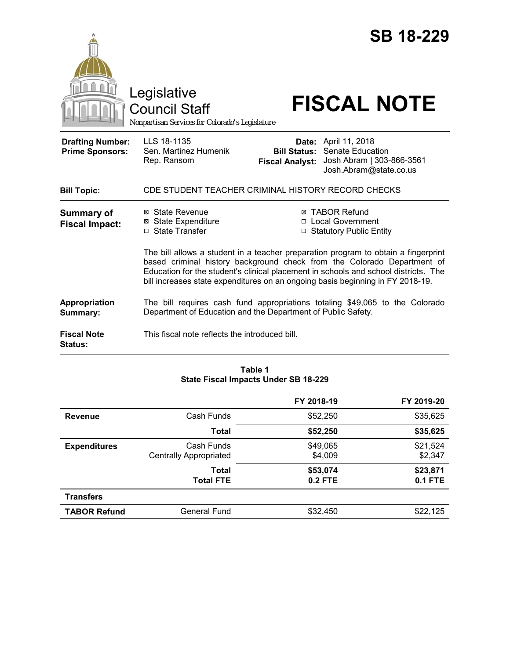|                                                                                                                                                                                                                                                                                                                                        | Legislative<br><b>Council Staff</b><br>Nonpartisan Services for Colorado's Legislature |                                               | <b>SB 18-229</b><br><b>FISCAL NOTE</b>                                                                 |
|----------------------------------------------------------------------------------------------------------------------------------------------------------------------------------------------------------------------------------------------------------------------------------------------------------------------------------------|----------------------------------------------------------------------------------------|-----------------------------------------------|--------------------------------------------------------------------------------------------------------|
| <b>Drafting Number:</b><br><b>Prime Sponsors:</b>                                                                                                                                                                                                                                                                                      | LLS 18-1135<br>Sen. Martinez Humenik<br>Rep. Ransom                                    | <b>Bill Status:</b><br><b>Fiscal Analyst:</b> | <b>Date:</b> April 11, 2018<br>Senate Education<br>Josh Abram   303-866-3561<br>Josh.Abram@state.co.us |
| <b>Bill Topic:</b>                                                                                                                                                                                                                                                                                                                     | CDE STUDENT TEACHER CRIMINAL HISTORY RECORD CHECKS                                     |                                               |                                                                                                        |
| <b>Summary of</b><br><b>Fiscal Impact:</b>                                                                                                                                                                                                                                                                                             | ⊠ State Revenue<br><b>⊠</b> State Expenditure<br>□ State Transfer                      |                                               | ⊠ TABOR Refund<br>□ Local Government<br>□ Statutory Public Entity                                      |
| The bill allows a student in a teacher preparation program to obtain a fingerprint<br>based criminal history background check from the Colorado Department of<br>Education for the student's clinical placement in schools and school districts. The<br>bill increases state expenditures on an ongoing basis beginning in FY 2018-19. |                                                                                        |                                               |                                                                                                        |
| Appropriation<br>Summary:                                                                                                                                                                                                                                                                                                              | Department of Education and the Department of Public Safety.                           |                                               | The bill requires cash fund appropriations totaling \$49,065 to the Colorado                           |
| <b>Fiscal Note</b><br><b>Status:</b>                                                                                                                                                                                                                                                                                                   | This fiscal note reflects the introduced bill.                                         |                                               |                                                                                                        |

# **Table 1 State Fiscal Impacts Under SB 18-229**

|                     |                                             | FY 2018-19                 | FY 2019-20                 |
|---------------------|---------------------------------------------|----------------------------|----------------------------|
| <b>Revenue</b>      | Cash Funds                                  | \$52,250                   | \$35,625                   |
|                     | Total                                       | \$52,250                   | \$35,625                   |
| <b>Expenditures</b> | Cash Funds<br><b>Centrally Appropriated</b> | \$49,065<br>\$4,009        | \$21,524<br>\$2,347        |
|                     | Total<br><b>Total FTE</b>                   | \$53,074<br><b>0.2 FTE</b> | \$23,871<br><b>0.1 FTE</b> |
| <b>Transfers</b>    |                                             |                            |                            |
| <b>TABOR Refund</b> | <b>General Fund</b>                         | \$32,450                   | \$22,125                   |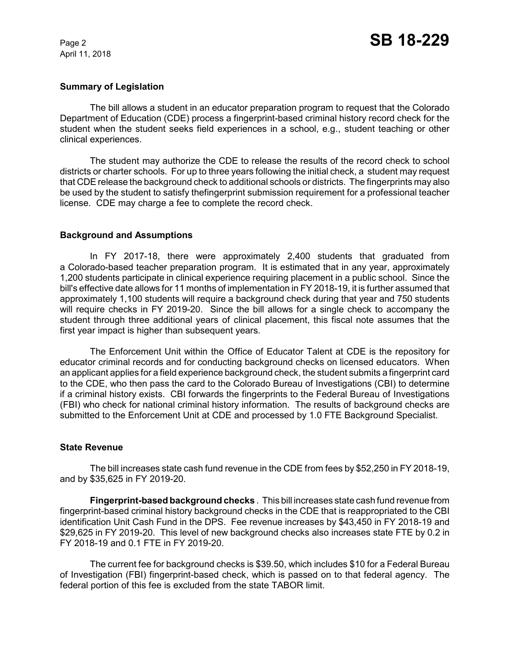April 11, 2018

## **Summary of Legislation**

The bill allows a student in an educator preparation program to request that the Colorado Department of Education (CDE) process a fingerprint-based criminal history record check for the student when the student seeks field experiences in a school, e.g., student teaching or other clinical experiences.

The student may authorize the CDE to release the results of the record check to school districts or charter schools. For up to three years following the initial check, a student may request that CDE release the background check to additional schools or districts. The fingerprints may also be used by the student to satisfy thefingerprint submission requirement for a professional teacher license. CDE may charge a fee to complete the record check.

## **Background and Assumptions**

In FY 2017-18, there were approximately 2,400 students that graduated from a Colorado-based teacher preparation program. It is estimated that in any year, approximately 1,200 students participate in clinical experience requiring placement in a public school. Since the bill's effective date allows for 11 months of implementation in FY 2018-19, it is further assumed that approximately 1,100 students will require a background check during that year and 750 students will require checks in FY 2019-20. Since the bill allows for a single check to accompany the student through three additional years of clinical placement, this fiscal note assumes that the first year impact is higher than subsequent years.

The Enforcement Unit within the Office of Educator Talent at CDE is the repository for educator criminal records and for conducting background checks on licensed educators. When an applicant applies for a field experience background check, the student submits a fingerprint card to the CDE, who then pass the card to the Colorado Bureau of Investigations (CBI) to determine if a criminal history exists. CBI forwards the fingerprints to the Federal Bureau of Investigations (FBI) who check for national criminal history information. The results of background checks are submitted to the Enforcement Unit at CDE and processed by 1.0 FTE Background Specialist.

#### **State Revenue**

The bill increases state cash fund revenue in the CDE from fees by \$52,250 in FY 2018-19, and by \$35,625 in FY 2019-20.

**Fingerprint-based background checks** . This bill increases state cash fund revenue from fingerprint-based criminal history background checks in the CDE that is reappropriated to the CBI identification Unit Cash Fund in the DPS. Fee revenue increases by \$43,450 in FY 2018-19 and \$29,625 in FY 2019-20. This level of new background checks also increases state FTE by 0.2 in FY 2018-19 and 0.1 FTE in FY 2019-20.

The current fee for background checks is \$39.50, which includes \$10 for a Federal Bureau of Investigation (FBI) fingerprint-based check, which is passed on to that federal agency. The federal portion of this fee is excluded from the state TABOR limit.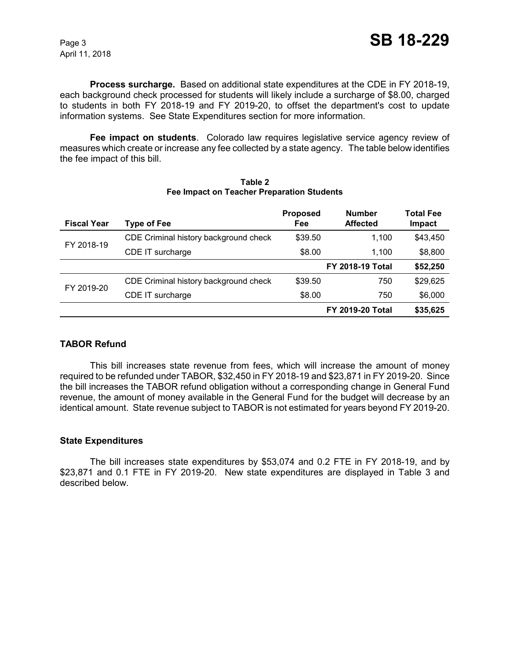April 11, 2018

**Process surcharge.** Based on additional state expenditures at the CDE in FY 2018-19, each background check processed for students will likely include a surcharge of \$8.00, charged to students in both FY 2018-19 and FY 2019-20, to offset the department's cost to update information systems. See State Expenditures section for more information.

**Fee impact on students**. Colorado law requires legislative service agency review of measures which create or increase any fee collected by a state agency. The table below identifies the fee impact of this bill.

| <b>Fiscal Year</b> | Type of Fee                           | <b>Proposed</b><br>Fee | <b>Number</b><br><b>Affected</b> | <b>Total Fee</b><br>Impact |
|--------------------|---------------------------------------|------------------------|----------------------------------|----------------------------|
| FY 2018-19         | CDE Criminal history background check | \$39.50                | 1.100                            | \$43,450                   |
|                    | CDE IT surcharge                      | \$8.00                 | 1.100                            | \$8,800                    |
|                    |                                       |                        | <b>FY 2018-19 Total</b>          | \$52,250                   |
| FY 2019-20         | CDE Criminal history background check | \$39.50                | 750                              | \$29.625                   |
|                    | CDE IT surcharge                      | \$8.00                 | 750                              | \$6,000                    |
|                    |                                       |                        | <b>FY 2019-20 Total</b>          | \$35,625                   |

#### **Table 2 Fee Impact on Teacher Preparation Students**

# **TABOR Refund**

This bill increases state revenue from fees, which will increase the amount of money required to be refunded under TABOR, \$32,450 in FY 2018-19 and \$23,871 in FY 2019-20. Since the bill increases the TABOR refund obligation without a corresponding change in General Fund revenue, the amount of money available in the General Fund for the budget will decrease by an identical amount. State revenue subject to TABOR is not estimated for years beyond FY 2019-20.

## **State Expenditures**

The bill increases state expenditures by \$53,074 and 0.2 FTE in FY 2018-19, and by \$23,871 and 0.1 FTE in FY 2019-20. New state expenditures are displayed in Table 3 and described below.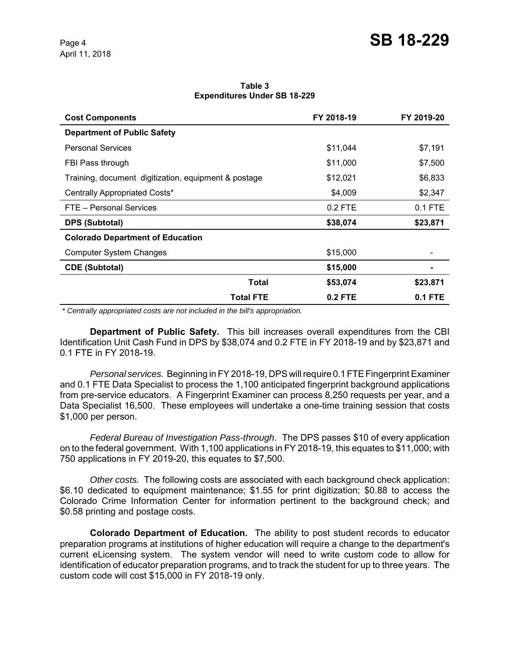**Table 3 Expenditures Under SB 18-229**

| <b>Cost Components</b>                               | FY 2018-19     | FY 2019-20 |
|------------------------------------------------------|----------------|------------|
| <b>Department of Public Safety</b>                   |                |            |
| <b>Personal Services</b>                             | \$11,044       | \$7,191    |
| FBI Pass through                                     | \$11,000       | \$7,500    |
| Training, document digitization, equipment & postage | \$12,021       | \$6,833    |
| Centrally Appropriated Costs*                        | \$4,009        | \$2,347    |
| FTE - Personal Services                              | 0.2 FTE        | $0.1$ FTE  |
| <b>DPS (Subtotal)</b>                                | \$38,074       | \$23,871   |
| <b>Colorado Department of Education</b>              |                |            |
| <b>Computer System Changes</b>                       | \$15,000       |            |
| <b>CDE (Subtotal)</b>                                | \$15,000       |            |
| Total                                                | \$53,074       | \$23,871   |
| <b>Total FTE</b>                                     | <b>0.2 FTE</b> | 0.1 FTE    |

 *\* Centrally appropriated costs are not included in the bill's appropriation.*

**Department of Public Safety.** This bill increases overall expenditures from the CBI Identification Unit Cash Fund in DPS by \$38,074 and 0.2 FTE in FY 2018-19 and by \$23,871 and 0.1 FTE in FY 2018-19.

*Personal services.* Beginning in FY 2018-19, DPS will require 0.1 FTE Fingerprint Examiner and 0.1 FTE Data Specialist to process the 1,100 anticipated fingerprint background applications from pre-service educators. A Fingerprint Examiner can process 8,250 requests per year, and a Data Specialist 16,500. These employees will undertake a one-time training session that costs \$1,000 per person.

*Federal Bureau of Investigation Pass-through*. The DPS passes \$10 of every application on to the federal government. With 1,100 applications in FY 2018-19, this equates to \$11,000; with 750 applications in FY 2019-20, this equates to \$7,500.

*Other costs.* The following costs are associated with each background check application: \$6.10 dedicated to equipment maintenance; \$1.55 for print digitization; \$0.88 to access the Colorado Crime Information Center for information pertinent to the background check; and \$0.58 printing and postage costs.

**Colorado Department of Education.** The ability to post student records to educator preparation programs at institutions of higher education will require a change to the department's current eLicensing system. The system vendor will need to write custom code to allow for identification of educator preparation programs, and to track the student for up to three years. The custom code will cost \$15,000 in FY 2018-19 only.